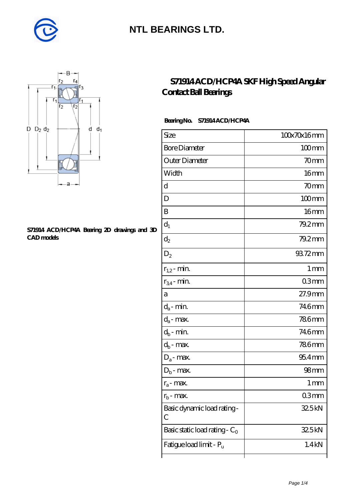



#### **[S71914 ACD/HCP4A Bearing 2D drawings and 3D](https://diabetesfriends.net/pic-590825.html) [CAD models](https://diabetesfriends.net/pic-590825.html)**

### **[S71914 ACD/HCP4A SKF High Speed Angular](https://diabetesfriends.net/skf-bearing/s71914-acd-hcp4a.html) [Contact Ball Bearings](https://diabetesfriends.net/skf-bearing/s71914-acd-hcp4a.html)**

#### **Bearing No. S71914 ACD/HCP4A**

| Size                             | 100x70x16mm      |
|----------------------------------|------------------|
| <b>Bore Diameter</b>             | $100$ mm         |
| Outer Diameter                   | 70 <sub>mm</sub> |
| Width                            | 16 <sub>mm</sub> |
| d                                | 70mm             |
| D                                | $100$ mm         |
| B                                | 16mm             |
| $d_1$                            | 79.2mm           |
| $\mathrm{d}_2$                   | $79.2$ mm        |
| $\mathrm{D}_2$                   | 93.72mm          |
| $r_{1,2}$ - min.                 | 1 <sub>mm</sub>  |
| $r_{34}$ - min.                  | 03 <sub>mm</sub> |
| а                                | 27.9mm           |
| $d_a$ - min.                     | 746mm            |
| $d_{\boldsymbol{a}}$ - max.      | <b>786mm</b>     |
| $d_b$ - min.                     | 746mm            |
| $d_b$ - $\max$                   | <b>786mm</b>     |
| $D_a$ - max.                     | $954$ mm         |
| $D_b$ - max.                     | 98 <sub>mm</sub> |
| $r_a$ - max.                     | 1 <sub>mm</sub>  |
| $r_{\rm b}$ - max.               | 03mm             |
| Basic dynamic load rating-<br>С  | 32.5kN           |
| Basic static load rating - $C_0$ | 325kN            |
| Fatigue load limit - Pu          | 1.4kN            |
|                                  |                  |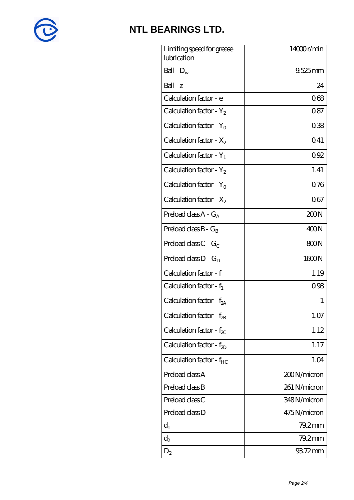

| Limiting speed for grease<br>lubrication | 14000r/min   |
|------------------------------------------|--------------|
| Ball - $D_w$                             | $9.525$ mm   |
| $Ball - z$                               | 24           |
| Calculation factor - e                   | 068          |
| Calculation factor - $Y_2$               | 0.87         |
| Calculation factor - $Y_0$               | 0.38         |
| Calculation factor - $X_2$               | 041          |
| Calculation factor - $Y_1$               | 092          |
| Calculation factor - $Y_2$               | 1.41         |
| Calculation factor - $Y_0$               | 076          |
| Calculation factor - $X_2$               | 067          |
| Preload class $A - G_A$                  | 200N         |
| Preload class $B - G_B$                  | 400N         |
| Preload class C - $G_C$                  | 800N         |
| Preload class $D - G_D$                  | 1600N        |
| Calculation factor - f                   | 1.19         |
| Calculation factor - $f_1$               | 0.98         |
| Calculation factor - f <sub>2A</sub>     | 1            |
| Calculation factor - $f_{2B}$            | 1.07         |
| Calculation factor - $f_{\chi}$          | 1.12         |
| Calculation factor - $f_{2D}$            | 1.17         |
| Calculation factor - $f_{HC}$            | 1.04         |
| Preload class A                          | 200N/micron  |
| Preload class B                          | 261 N/micron |
| Preload class C                          | 348N/micron  |
| Preload class D                          | 475N/micron  |
| $d_1$                                    | $79.2$ mm    |
| $d_2$                                    | 79.2mm       |
| $D_2$                                    | 93.72mm      |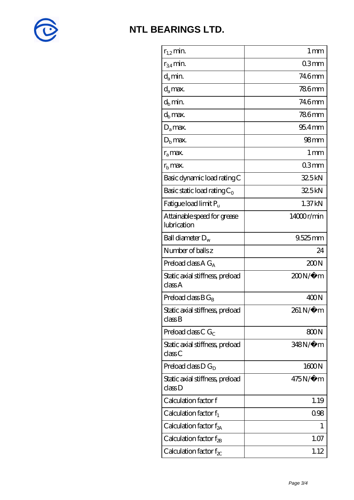

| $r_{1,2}$ min.                             | 1 <sub>mm</sub>  |
|--------------------------------------------|------------------|
| $r_{34}$ min.                              | 03 <sub>mm</sub> |
| $d_{a}$ min.                               | 746mm            |
| $d_a$ max.                                 | <b>786mm</b>     |
| $d_h$ min.                                 | 746mm            |
| $d_h$ max.                                 | <b>786mm</b>     |
| $D_a$ max.                                 | $954$ mm         |
| $D_{\rm b}$ max.                           | 98 <sub>mm</sub> |
| $r_a$ max.                                 | 1 <sub>mm</sub>  |
| $rb$ max.                                  | 03 <sub>mm</sub> |
| Basic dynamic load rating C                | 32.5kN           |
| Basic static load rating $C_0$             | 32.5kN           |
| Fatigue load limit Pu                      | 1.37kN           |
| Attainable speed for grease<br>lubrication | 14000r/min       |
| Ball diameter $D_w$                        | 9.525mm          |
| Number of balls z                          | 24               |
| Preload class $AG_A$                       | 200N             |
| Static axial stiffness, preload<br>classA  | 200N/µ m         |
| Preload class $BG_B$                       | 400N             |
| Static axial stiffness, preload<br>classB  | 261 N/µ m        |
| Preload class C $G_C$                      | 800N             |
| Static axial stiffness, preload<br>classC  | 348N/µ m         |
| Preload class $D G_D$                      | 1600N            |
| Static axial stiffness, preload<br>classD  | $475N/\mu$ m     |
| Calculation factor f                       | 1.19             |
| Calculation factor $f_1$                   | 0.98             |
| Calculation factor $f_{2A}$                | 1                |
| Calculation factor $f_{\rm 2B}$            | 1.07             |
| Calculation factor f $_{\chi}$             | 1.12             |